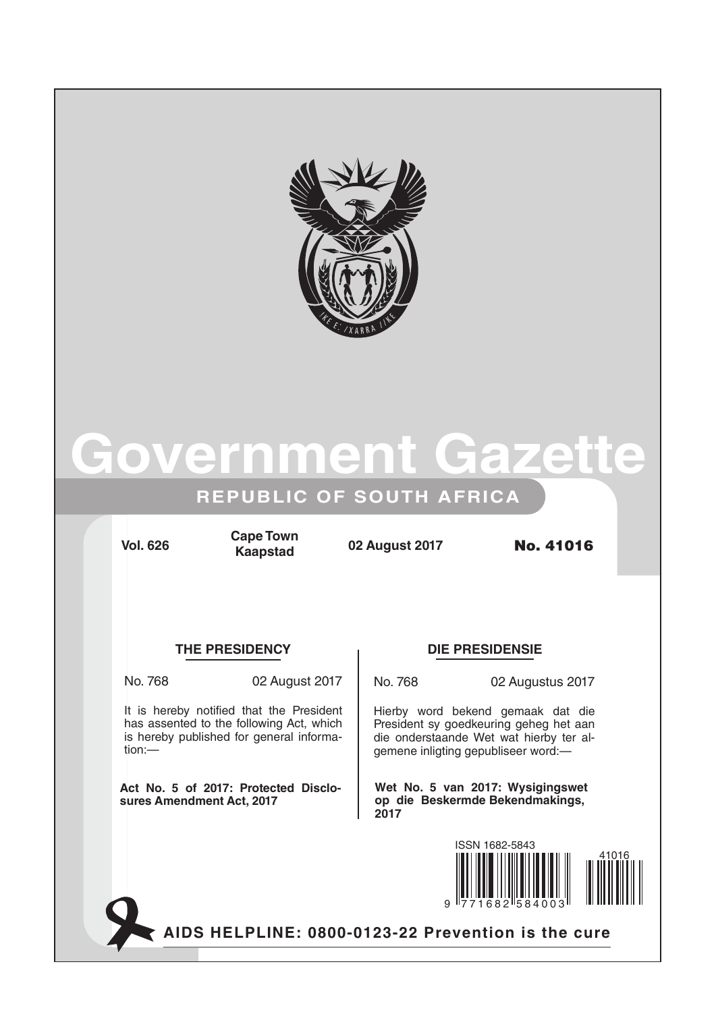

# overnment Gaze

## **REPUBLIC OF SOUTH AFRICA**

**Vol. 626 02 August 2017** No. 41016 **Cape Town Kaapstad**

## **THE PRESIDENCY DIE PRESIDENSIE**

It is hereby notified that the President has assented to the following Act, which is hereby published for general informa-

**Act No. 5 of 2017: Protected Disclo-**

**sures Amendment Act, 2017**

tion:—

No. 768 02 August 2017

No. 768 02 Augustus 2017

Hierby word bekend gemaak dat die President sy goedkeuring geheg het aan die onderstaande Wet wat hierby ter algemene inligting gepubliseer word:—

**Wet No. 5 van 2017: Wysigingswet op die Beskermde Bekendmakings, 2017**



AIDS HELPLINE: 0800-0123-22 Prevention is the cure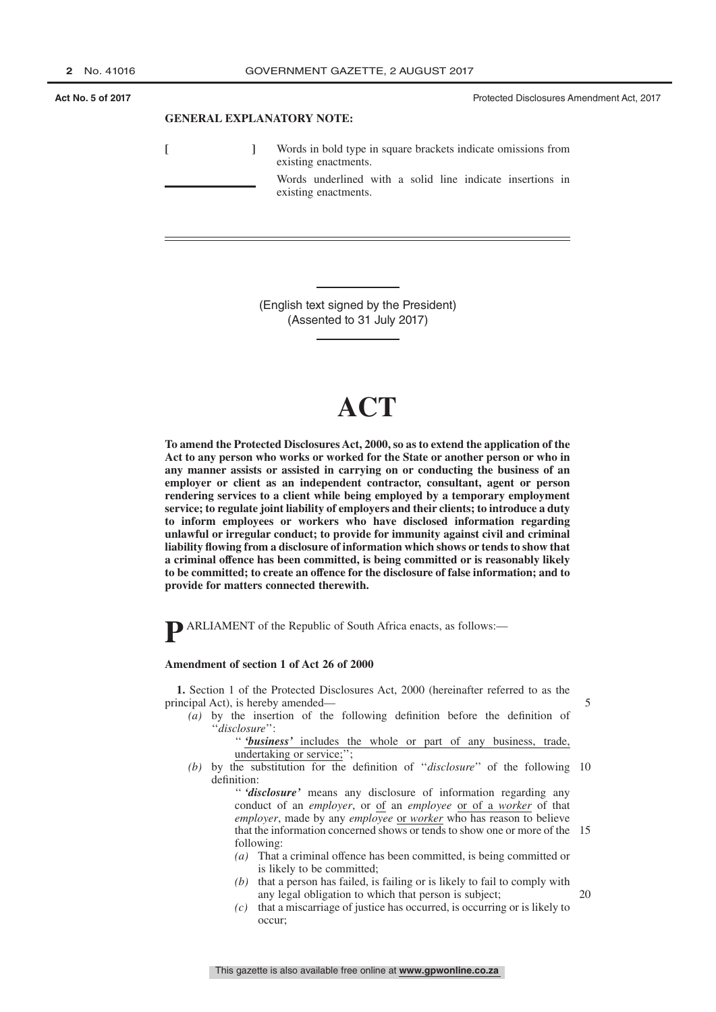**Act No. 5 of 2017 Act No. 5 of 2017 Protected Disclosures Amendment Act, 2017 Protected Disclosures Amendment Act, 2017** 

#### **GENERAL EXPLANATORY NOTE:**

|  | Words in bold type in square brackets indicate omissions from<br>existing enactments. |  |  |  |  |
|--|---------------------------------------------------------------------------------------|--|--|--|--|
|  | Words underlined with a solid line indicate insertions in<br>existing enactments.     |  |  |  |  |

(English text signed by the President) (Assented to 31 July 2017)

# **ACT**

**To amend the Protected Disclosures Act, 2000, so as to extend the application of the Act to any person who works or worked for the State or another person or who in any manner assists or assisted in carrying on or conducting the business of an employer or client as an independent contractor, consultant, agent or person rendering services to a client while being employed by a temporary employment service; to regulate joint liability of employers and their clients; to introduce a duty to inform employees or workers who have disclosed information regarding unlawful or irregular conduct; to provide for immunity against civil and criminal liability flowing from a disclosure of information which shows or tends to show that a criminal offence has been committed, is being committed or is reasonably likely to be committed; to create an offence for the disclosure of false information; and to provide for matters connected therewith.**

**P** ARLIAMENT of the Republic of South Africa enacts, as follows:—

#### **Amendment of section 1 of Act 26 of 2000**

**1.** Section 1 of the Protected Disclosures Act, 2000 (hereinafter referred to as the principal Act), is hereby amended—

*(a)* by the insertion of the following definition before the definition of ''*disclosure*'':

'' *'business'* includes the whole or part of any business, trade, undertaking or service;'';

*(b)* by the substitution for the definition of ''*disclosure*'' of the following 10 definition:

> '' *'disclosure'* means any disclosure of information regarding any conduct of an *employer*, or of an *employee* or of a *worker* of that *employer*, made by any *employee* or *worker* who has reason to believe that the information concerned shows or tends to show one or more of the 15 following:

- *(a)* That a criminal offence has been committed, is being committed or is likely to be committed;
- *(b)* that a person has failed, is failing or is likely to fail to comply with any legal obligation to which that person is subject;
- *(c)* that a miscarriage of justice has occurred, is occurring or is likely to occur;

20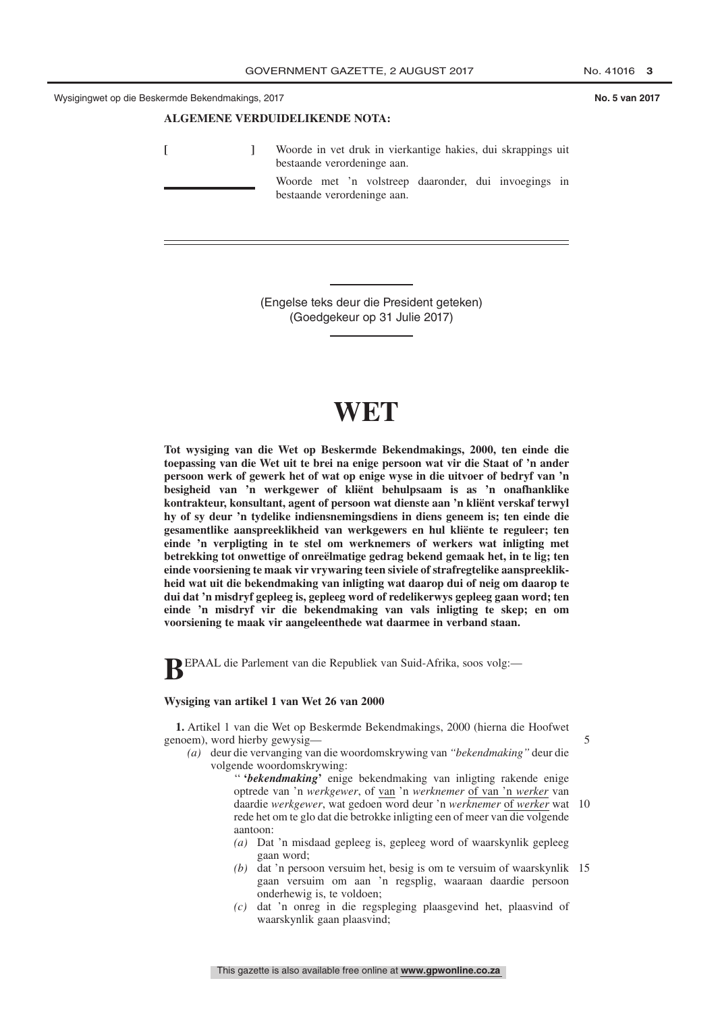#### **ALGEMENE VERDUIDELIKENDE NOTA:**

**[ ]** Woorde in vet druk in vierkantige hakies, dui skrappings uit bestaande verordeninge aan. Woorde met 'n volstreep daaronder, dui invoegings in bestaande verordeninge aan.

> (Engelse teks deur die President geteken) (Goedgekeur op 31 Julie 2017)

# **WET**

**Tot wysiging van die Wet op Beskermde Bekendmakings, 2000, ten einde die toepassing van die Wet uit te brei na enige persoon wat vir die Staat of 'n ander persoon werk of gewerk het of wat op enige wyse in die uitvoer of bedryf van 'n besigheid van 'n werkgewer of kliënt behulpsaam is as 'n onafhanklike kontrakteur, konsultant, agent of persoon wat dienste aan 'n kliënt verskaf terwyl hy of sy deur 'n tydelike indiensnemingsdiens in diens geneem is; ten einde die gesamentlike aanspreeklikheid van werkgewers en hul kliënte te reguleer; ten einde 'n verpligting in te stel om werknemers of werkers wat inligting met betrekking tot onwettige of onreëlmatige gedrag bekend gemaak het, in te lig; ten einde voorsiening te maak vir vrywaring teen siviele of strafregtelike aanspreeklikheid wat uit die bekendmaking van inligting wat daarop dui of neig om daarop te dui dat 'n misdryf gepleeg is, gepleeg word of redelikerwys gepleeg gaan word; ten einde 'n misdryf vir die bekendmaking van vals inligting te skep; en om voorsiening te maak vir aangeleenthede wat daarmee in verband staan.**

**B**EPAAL die Parlement van die Republiek van Suid-Afrika, soos volg:—

#### **Wysiging van artikel 1 van Wet 26 van 2000**

**1.** Artikel 1 van die Wet op Beskermde Bekendmakings, 2000 (hierna die Hoofwet genoem), word hierby gewysig—

*(a)* deur die vervanging van die woordomskrywing van *''bekendmaking''* deur die volgende woordomskrywing:

> '' **'***bekendmaking***'** enige bekendmaking van inligting rakende enige optrede van 'n *werkgewer*, of van 'n *werknemer* of van 'n *werker* van daardie *werkgewer*, wat gedoen word deur 'n *werknemer* of *werker* wat 10 rede het om te glo dat die betrokke inligting een of meer van die volgende aantoon:

- *(a)* Dat 'n misdaad gepleeg is, gepleeg word of waarskynlik gepleeg gaan word;
- *(b)* dat 'n persoon versuim het, besig is om te versuim of waarskynlik 15 gaan versuim om aan 'n regsplig, waaraan daardie persoon onderhewig is, te voldoen;
- *(c)* dat 'n onreg in die regspleging plaasgevind het, plaasvind of waarskynlik gaan plaasvind;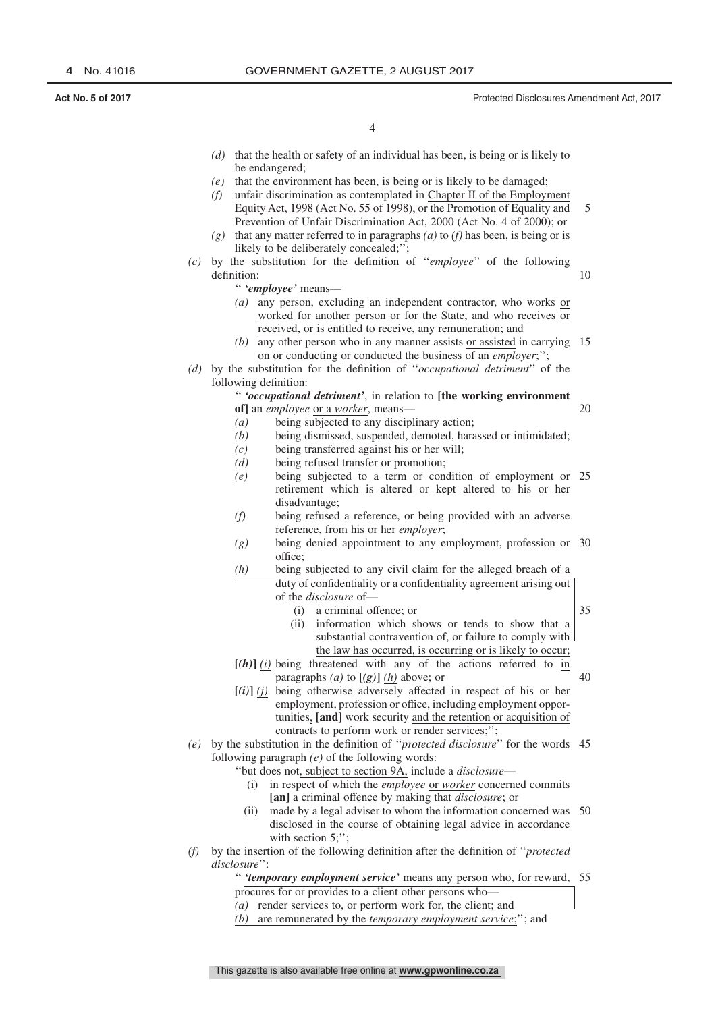20

4

- *(d)* that the health or safety of an individual has been, is being or is likely to be endangered;
- *(e)* that the environment has been, is being or is likely to be damaged;
- *(f)* unfair discrimination as contemplated in Chapter II of the Employment Equity Act, 1998 (Act No. 55 of 1998), or the Promotion of Equality and Prevention of Unfair Discrimination Act, 2000 (Act No. 4 of 2000); or 5
- *(g)* that any matter referred to in paragraphs *(a)* to *(f)* has been, is being or is likely to be deliberately concealed;'';
- *(c)* by the substitution for the definition of ''*employee*'' of the following definition:
	- '' *'employee'* means—
	- *(a)* any person, excluding an independent contractor, who works or worked for another person or for the State, and who receives or received, or is entitled to receive, any remuneration; and
	- *(b)* any other person who in any manner assists or assisted in carrying 15 on or conducting or conducted the business of an *employer*;'';
- *(d)* by the substitution for the definition of ''*occupational detriment*'' of the following definition:
	- '' *'occupational detriment'*, in relation to **[the working environment of]** an *employee* or a *worker*, means—
	- *(a)* being subjected to any disciplinary action;
	- *(b)* being dismissed, suspended, demoted, harassed or intimidated;
	- *(c)* being transferred against his or her will;
	- *(d)* being refused transfer or promotion;
	- *(e)* being subjected to a term or condition of employment or 25 retirement which is altered or kept altered to his or her disadvantage;
	- *(f)* being refused a reference, or being provided with an adverse reference, from his or her *employer*;
	- *(g)* being denied appointment to any employment, profession or 30 office;
	- *(h)* being subjected to any civil claim for the alleged breach of a duty of confidentiality or a confidentiality agreement arising out of the *disclosure* of—
		- (i) a criminal offence; or

35

40

- (ii) information which shows or tends to show that a substantial contravention of, or failure to comply with the law has occurred, is occurring or is likely to occur;
- $[(h)]$   $(i)$  being threatened with any of the actions referred to in paragraphs  $(a)$  to  $[(g)]$   $(h)$  above; or
- **[***(i)***]** *(j)* being otherwise adversely affected in respect of his or her employment, profession or office, including employment opportunities, **[and]** work security and the retention or acquisition of contracts to perform work or render services;'';
- *(e)* by the substitution in the definition of ''*protected disclosure*'' for the words 45 following paragraph *(e)* of the following words:
	- ''but does not, subject to section 9A, include a *disclosure*
		- (i) in respect of which the *employee* or *worker* concerned commits **[an]** a criminal offence by making that *disclosure*; or
		- (ii) made by a legal adviser to whom the information concerned was 50 disclosed in the course of obtaining legal advice in accordance with section 5;";
- *(f)* by the insertion of the following definition after the definition of ''*protected disclosure*'':

'' *'temporary employment service'* means any person who, for reward, 55procures for or provides to a client other persons who—

- *(a)* render services to, or perform work for, the client; and
- *(b)* are remunerated by the *temporary employment service*;''; and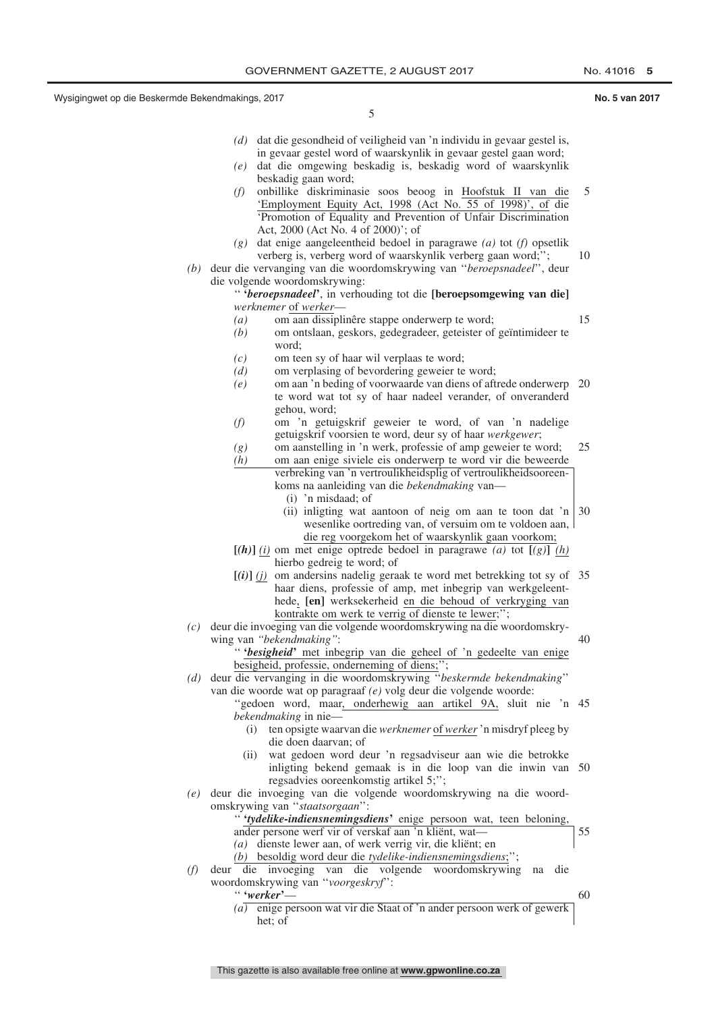10

15

5

- *(d)* dat die gesondheid of veiligheid van 'n individu in gevaar gestel is, in gevaar gestel word of waarskynlik in gevaar gestel gaan word;
- *(e)* dat die omgewing beskadig is, beskadig word of waarskynlik beskadig gaan word;
- *(f)* onbillike diskriminasie soos beoog in Hoofstuk II van die 'Employment Equity Act, 1998 (Act No. 55 of 1998)', of die 'Promotion of Equality and Prevention of Unfair Discrimination Act, 2000 (Act No. 4 of 2000)'; of 5
- *(g)* dat enige aangeleentheid bedoel in paragrawe *(a)* tot *(f)* opsetlik verberg is, verberg word of waarskynlik verberg gaan word;'';
- *(b)* deur die vervanging van die woordomskrywing van ''*beroepsnadeel*'', deur die volgende woordomskrywing:

'' **'***beroepsnadeel***'**, in verhouding tot die **[beroepsomgewing van die]** *werknemer* of *werker*—

- *(a)* om aan dissiplinêre stappe onderwerp te word;
- *(b)* om ontslaan, geskors, gedegradeer, geteister of geïntimideer te word;
- *(c)* om teen sy of haar wil verplaas te word;
- *(d)* om verplasing of bevordering geweier te word;
- *(e)* om aan 'n beding of voorwaarde van diens of aftrede onderwerp 20 te word wat tot sy of haar nadeel verander, of onveranderd gehou, word;
- *(f)* om 'n getuigskrif geweier te word, of van 'n nadelige getuigskrif voorsien te word, deur sy of haar *werkgewer*;
- *(g)* om aanstelling in 'n werk, professie of amp geweier te word; 25
- *(h)* om aan enige siviele eis onderwerp te word vir die beweerde verbreking van 'n vertroulikheidsplig of vertroulikheidsooreen
	- koms na aanleiding van die *bekendmaking* van—
	- (i) 'n misdaad; of (ii) inligting wat aantoon of neig om aan te toon dat 'n 30 wesenlike oortreding van, of versuim om te voldoen aan,
- die reg voorgekom het of waarskynlik gaan voorkom;  $[(h)]$  *(i)* om met enige optrede bedoel in paragrawe *(a)* tot  $[(g)]$  *(h)* hierbo gedreig te word; of
- $[(i)]$  (*j*) om andersins nadelig geraak te word met betrekking tot sy of 35 haar diens, professie of amp, met inbegrip van werkgeleenthede, **[en]** werksekerheid en die behoud of verkryging van kontrakte om werk te verrig of dienste te lewer;'';
- *(c)* deur die invoeging van die volgende woordomskrywing na die woordomskrywing van *''bekendmaking''*: 40

'' **'***besigheid***'** met inbegrip van die geheel of 'n gedeelte van enige besigheid, professie, onderneming of diens;"

- *(d)* deur die vervanging in die woordomskrywing ''*beskermde bekendmaking*'' van die woorde wat op paragraaf *(e)* volg deur die volgende woorde:
	- ''gedoen word, maar, onderhewig aan artikel 9A, sluit nie 'n 45 *bekendmaking* in nie—
		- (i) ten opsigte waarvan die *werknemer* of *werker*'n misdryf pleeg by die doen daarvan; of
		- (ii) wat gedoen word deur 'n regsadviseur aan wie die betrokke inligting bekend gemaak is in die loop van die inwin van 50 regsadvies ooreenkomstig artikel 5;'';
- *(e)* deur die invoeging van die volgende woordomskrywing na die woordomskrywing van ''*staatsorgaan*'':
	- '' **'***tydelike-indiensnemingsdiens***'** enige persoon wat, teen beloning, ander persone werf vir of verskaf aan 'n kliënt, wat— *(a)* dienste lewer aan, of werk verrig vir, die kliënt; en *(b)* besoldig word deur die *tydelike-indiensnemingsdiens*;''; 55
- *(f)* deur die invoeging van die volgende woordomskrywing na die woordomskrywing van ''*voorgeskryf*'': 60
	- '' **'***werker***'** *(a)* enige persoon wat vir die Staat of 'n ander persoon werk of gewerk het; of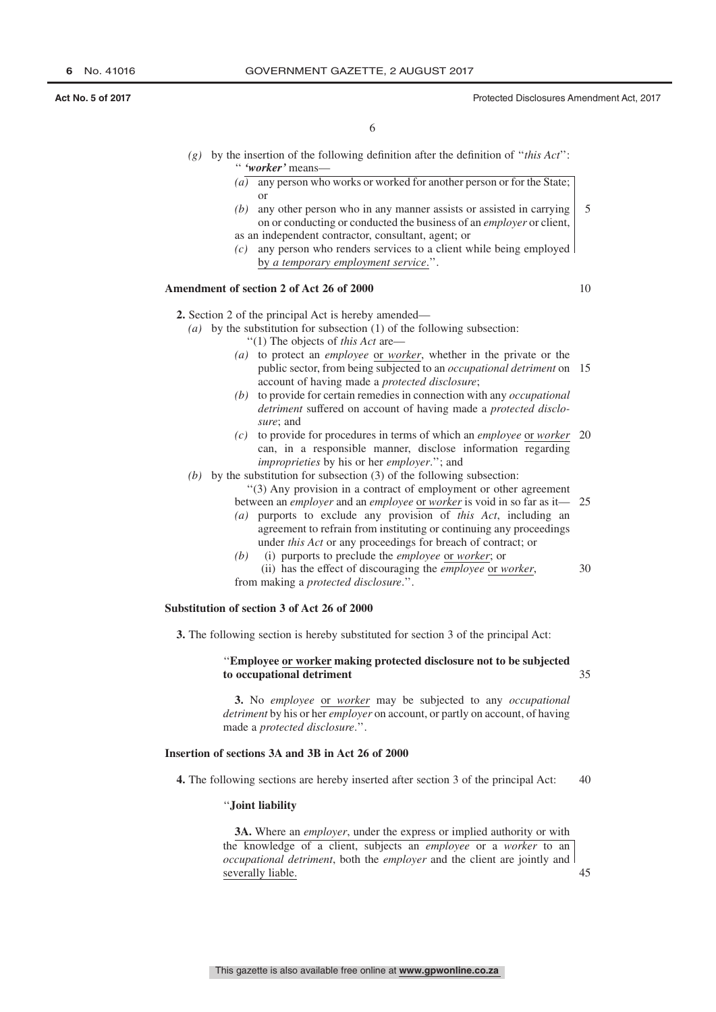- *(g)* by the insertion of the following definition after the definition of ''*this Act*'': '' *'worker'* means—
	- *(a)* any person who works or worked for another person or for the State; or
	- *(b)* any other person who in any manner assists or assisted in carrying on or conducting or conducted the business of an *employer* or client, as an independent contractor, consultant, agent; or 5
	- *(c)* any person who renders services to a client while being employed by *a temporary employment service*.''.

#### **Amendment of section 2 of Act 26 of 2000**

10

30

**2.** Section 2 of the principal Act is hereby amended—

- *(a)* by the substitution for subsection (1) of the following subsection: ''(1) The objects of *this Act* are—
	- *(a)* to protect an *employee* or *worker*, whether in the private or the public sector, from being subjected to an *occupational detriment* on 15 account of having made a *protected disclosure*;
	- *(b)* to provide for certain remedies in connection with any *occupational detriment* suffered on account of having made a *protected disclosure*; and
	- *(c)* to provide for procedures in terms of which an *employee* or *worker* 20 can, in a responsible manner, disclose information regarding *improprieties* by his or her *employer*.''; and
- *(b)* by the substitution for subsection (3) of the following subsection:
	- ''(3) Any provision in a contract of employment or other agreement
	- between an *employer* and an *employee* or *worker* is void in so far as it— 25
	- *(a)* purports to exclude any provision of *this Act*, including an agreement to refrain from instituting or continuing any proceedings under *this Act* or any proceedings for breach of contract; or
	- *(b)* (i) purports to preclude the *employee* or *worker*; or (ii) has the effect of discouraging the *employee* or *worker*, from making a *protected disclosure*.''.

#### **Substitution of section 3 of Act 26 of 2000**

**3.** The following section is hereby substituted for section 3 of the principal Act:

#### ''**Employee or worker making protected disclosure not to be subjected to occupational detriment** 35

**3.** No *employee* or *worker* may be subjected to any *occupational detriment* by his or her *employer* on account, or partly on account, of having made a *protected disclosure*.''.

#### **Insertion of sections 3A and 3B in Act 26 of 2000**

**4.** The following sections are hereby inserted after section 3 of the principal Act: 40

#### ''**Joint liability**

**3A.** Where an *employer*, under the express or implied authority or with the knowledge of a client, subjects an *employee* or a *worker* to an *occupational detriment*, both the *employer* and the client are jointly and severally liable.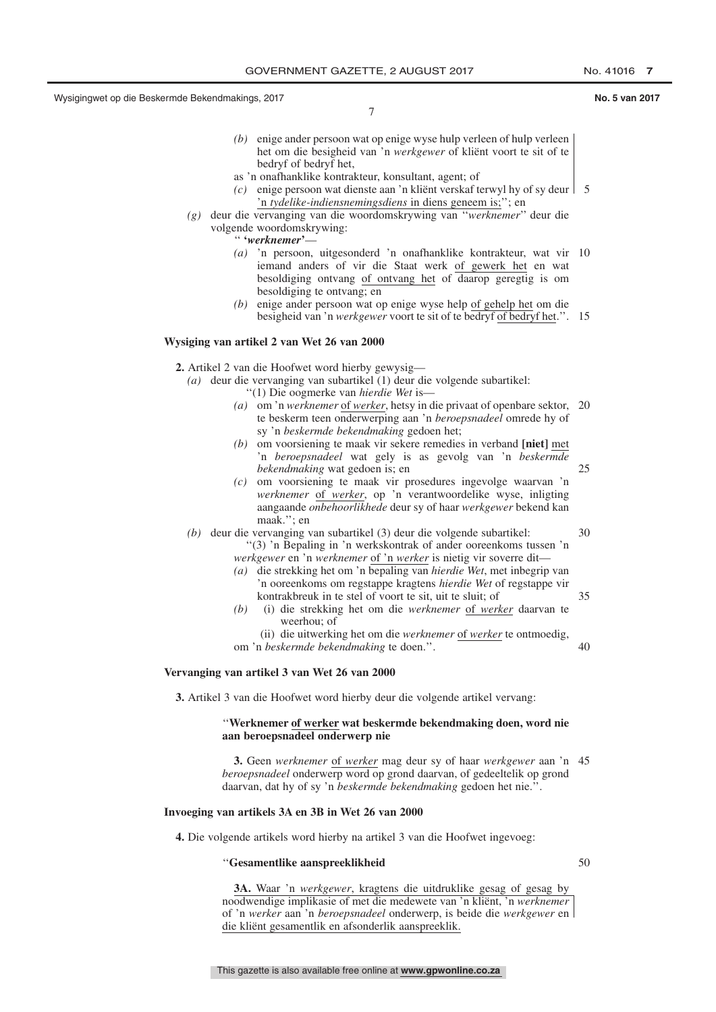7

- *(b)* enige ander persoon wat op enige wyse hulp verleen of hulp verleen het om die besigheid van 'n *werkgewer* of kliënt voort te sit of te bedryf of bedryf het,
- as 'n onafhanklike kontrakteur, konsultant, agent; of
- *(c)* enige persoon wat dienste aan 'n kliënt verskaf terwyl hy of sy deur 5 'n *tydelike-indiensnemingsdiens* in diens geneem is;''; en
- *(g)* deur die vervanging van die woordomskrywing van ''*werknemer*'' deur die volgende woordomskrywing:
	- '' **'***werknemer***'**—
	- *(a)* 'n persoon, uitgesonderd 'n onafhanklike kontrakteur, wat vir 10 iemand anders of vir die Staat werk of gewerk het en wat besoldiging ontvang of ontvang het of daarop geregtig is om besoldiging te ontvang; en
	- *(b)* enige ander persoon wat op enige wyse help of gehelp het om die besigheid van 'n *werkgewer* voort te sit of te bedryf of bedryf het.''. 15

#### **Wysiging van artikel 2 van Wet 26 van 2000**

**2.** Artikel 2 van die Hoofwet word hierby gewysig—

- *(a)* deur die vervanging van subartikel (1) deur die volgende subartikel:
	- ''(1) Die oogmerke van *hierdie Wet* is—
		- *(a)* om 'n *werknemer* of *werker*, hetsy in die privaat of openbare sektor, 20 te beskerm teen onderwerping aan 'n *beroepsnadeel* omrede hy of sy 'n *beskermde bekendmaking* gedoen het;
		- *(b)* om voorsiening te maak vir sekere remedies in verband **[niet]** met 'n *beroepsnadeel* wat gely is as gevolg van 'n *beskermde bekendmaking* wat gedoen is; en
		- *(c)* om voorsiening te maak vir prosedures ingevolge waarvan 'n *werknemer* of *werker*, op 'n verantwoordelike wyse, inligting aangaande *onbehoorlikhede* deur sy of haar *werkgewer* bekend kan maak.''; en
- *(b)* deur die vervanging van subartikel (3) deur die volgende subartikel: ''(3) 'n Bepaling in 'n werkskontrak of ander ooreenkoms tussen 'n *werkgewer* en 'n *werknemer* of 'n *werker* is nietig vir soverre dit— 30
	- *(a)* die strekking het om 'n bepaling van *hierdie Wet*, met inbegrip van 'n ooreenkoms om regstappe kragtens *hierdie Wet* of regstappe vir kontrakbreuk in te stel of voort te sit, uit te sluit; of 35
	- *(b)* (i) die strekking het om die *werknemer* of *werker* daarvan te weerhou; of
	- (ii) die uitwerking het om die *werknemer* of *werker* te ontmoedig, om 'n *beskermde bekendmaking* te doen.''.

40

25

### **Vervanging van artikel 3 van Wet 26 van 2000**

**3.** Artikel 3 van die Hoofwet word hierby deur die volgende artikel vervang:

#### ''**Werknemer of werker wat beskermde bekendmaking doen, word nie aan beroepsnadeel onderwerp nie**

**3.** Geen *werknemer* of *werker* mag deur sy of haar *werkgewer* aan 'n 45 *beroepsnadeel* onderwerp word op grond daarvan, of gedeeltelik op grond daarvan, dat hy of sy 'n *beskermde bekendmaking* gedoen het nie.''.

#### **Invoeging van artikels 3A en 3B in Wet 26 van 2000**

**4.** Die volgende artikels word hierby na artikel 3 van die Hoofwet ingevoeg:

#### ''**Gesamentlike aanspreeklikheid**

50

**3A.** Waar 'n *werkgewer*, kragtens die uitdruklike gesag of gesag by noodwendige implikasie of met die medewete van 'n kliënt, 'n *werknemer* of 'n *werker* aan 'n *beroepsnadeel* onderwerp, is beide die *werkgewer* en die kliënt gesamentlik en afsonderlik aanspreeklik.

This gazette is also available free online at **www.gpwonline.co.za**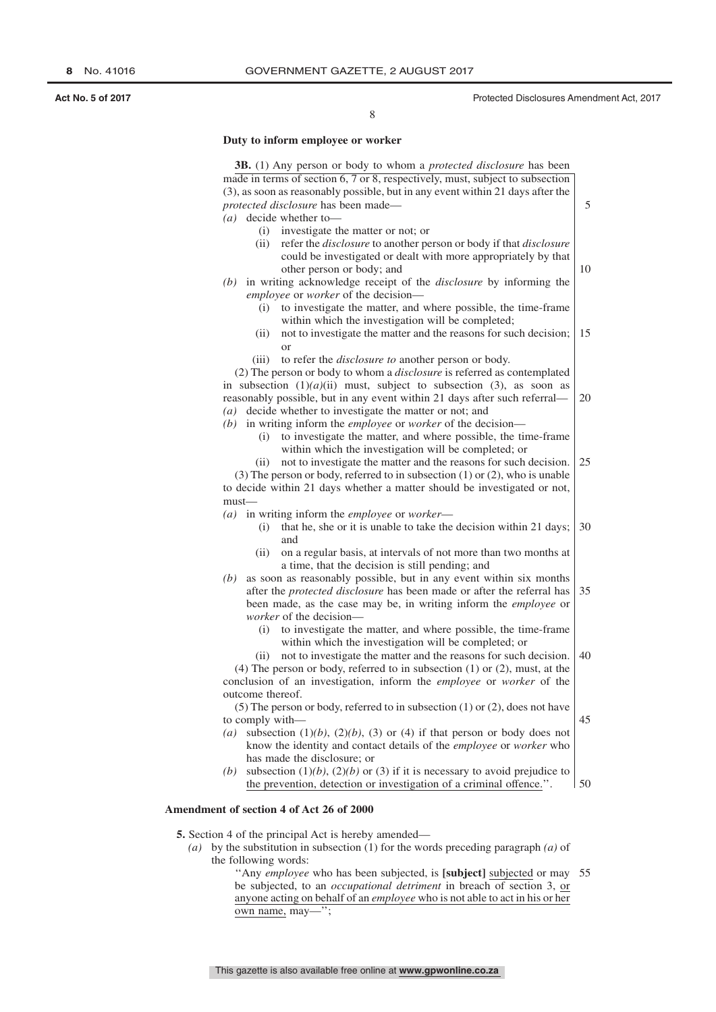## **Duty to inform employee or worker**

|                  | 3B. (1) Any person or body to whom a protected disclosure has been                                                                                                             |
|------------------|--------------------------------------------------------------------------------------------------------------------------------------------------------------------------------|
|                  | made in terms of section 6, 7 or 8, respectively, must, subject to subsection                                                                                                  |
|                  | (3), as soon as reasonably possible, but in any event within 21 days after the                                                                                                 |
|                  | protected disclosure has been made-                                                                                                                                            |
|                  | $(a)$ decide whether to-                                                                                                                                                       |
|                  | (i) investigate the matter or not; or                                                                                                                                          |
| (ii)             | refer the <i>disclosure</i> to another person or body if that <i>disclosure</i><br>could be investigated or dealt with more appropriately by that<br>other person or body; and |
|                  | $(b)$ in writing acknowledge receipt of the <i>disclosure</i> by informing the                                                                                                 |
|                  | employee or worker of the decision-                                                                                                                                            |
| (i)              | to investigate the matter, and where possible, the time-frame                                                                                                                  |
|                  | within which the investigation will be completed;                                                                                                                              |
| (ii)             | not to investigate the matter and the reasons for such decision;                                                                                                               |
|                  | <sub>or</sub>                                                                                                                                                                  |
| (iii)            | to refer the <i>disclosure to</i> another person or body.                                                                                                                      |
|                  | (2) The person or body to whom a <i>disclosure</i> is referred as contemplated                                                                                                 |
|                  | in subsection $(1)(a)(ii)$ must, subject to subsection (3), as soon as                                                                                                         |
|                  | reasonably possible, but in any event within 21 days after such referral-                                                                                                      |
| (a)              | decide whether to investigate the matter or not; and                                                                                                                           |
| (b)              | in writing inform the <i>employee</i> or <i>worker</i> of the decision-                                                                                                        |
| (i)              | to investigate the matter, and where possible, the time-frame                                                                                                                  |
|                  | within which the investigation will be completed; or                                                                                                                           |
| (ii)             | not to investigate the matter and the reasons for such decision.                                                                                                               |
|                  | $(3)$ The person or body, referred to in subsection $(1)$ or $(2)$ , who is unable                                                                                             |
|                  | to decide within 21 days whether a matter should be investigated or not,                                                                                                       |
| $must$ —         |                                                                                                                                                                                |
| (a)              | in writing inform the employee or worker-                                                                                                                                      |
| (i)              | that he, she or it is unable to take the decision within 21 days;                                                                                                              |
|                  | and                                                                                                                                                                            |
| (ii)             | on a regular basis, at intervals of not more than two months at                                                                                                                |
|                  | a time, that the decision is still pending; and                                                                                                                                |
| (b)              | as soon as reasonably possible, but in any event within six months                                                                                                             |
|                  | after the <i>protected disclosure</i> has been made or after the referral has                                                                                                  |
|                  | been made, as the case may be, in writing inform the <i>employee</i> or                                                                                                        |
|                  | worker of the decision-                                                                                                                                                        |
| (i)              | to investigate the matter, and where possible, the time-frame                                                                                                                  |
|                  | within which the investigation will be completed; or                                                                                                                           |
| (ii)             | not to investigate the matter and the reasons for such decision.                                                                                                               |
|                  | $(4)$ The person or body, referred to in subsection $(1)$ or $(2)$ , must, at the                                                                                              |
|                  | conclusion of an investigation, inform the employee or worker of the                                                                                                           |
| outcome thereof. |                                                                                                                                                                                |
|                  | $(5)$ The person or body, referred to in subsection $(1)$ or $(2)$ , does not have                                                                                             |
|                  |                                                                                                                                                                                |
| to comply with-  | subsection $(1)(b)$ , $(2)(b)$ , $(3)$ or $(4)$ if that person or body does not                                                                                                |
| (a)              |                                                                                                                                                                                |
|                  |                                                                                                                                                                                |
|                  | know the identity and contact details of the employee or worker who                                                                                                            |
| (b)              | has made the disclosure; or<br>subsection $(1)(b)$ , $(2)(b)$ or $(3)$ if it is necessary to avoid prejudice to                                                                |

#### **Amendment of section 4 of Act 26 of 2000**

**5.** Section 4 of the principal Act is hereby amended—

- *(a)* by the substitution in subsection (1) for the words preceding paragraph *(a)* of the following words:
	- ''Any *employee* who has been subjected, is **[subject]** subjected or may 55be subjected, to an *occupational detriment* in breach of section 3, or anyone acting on behalf of an *employee* who is not able to act in his or her own name, may—'';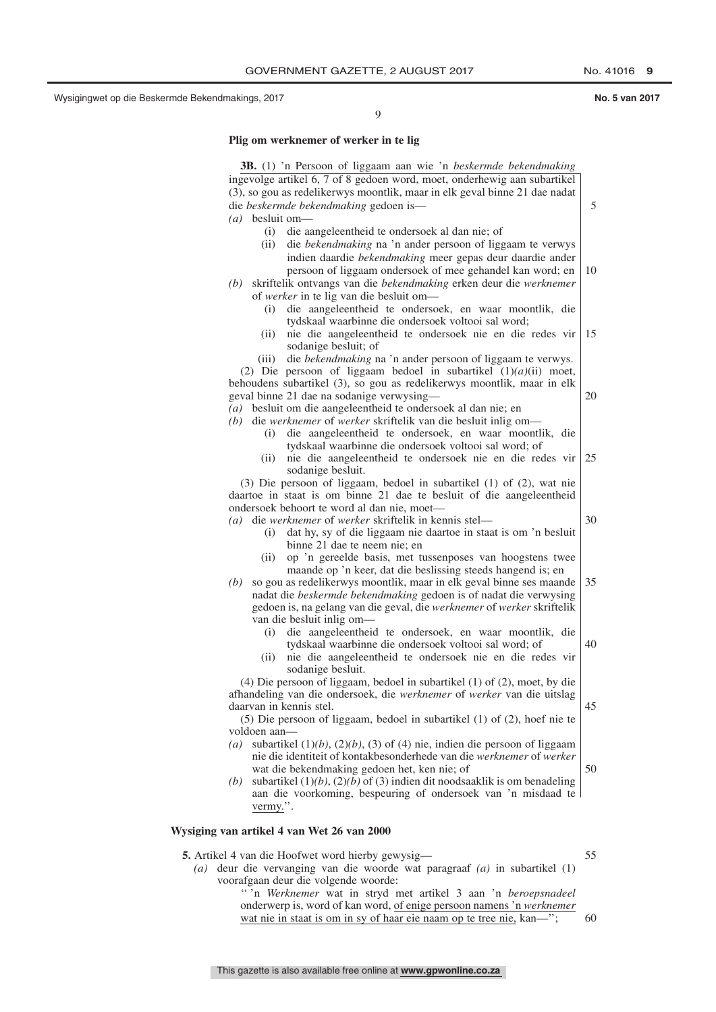9

#### **Plig om werknemer of werker in te lig**

**3B.** (1) 'n Persoon of liggaam aan wie 'n *beskermde bekendmaking* ingevolge artikel 6, 7 of 8 gedoen word, moet, onderhewig aan subartikel (3), so gou as redelikerwys moontlik, maar in elk geval binne 21 dae nadat die *beskermde bekendmaking* gedoen is— *(a)* besluit om— (i) die aangeleentheid te ondersoek al dan nie; of (ii) die *bekendmaking* na 'n ander persoon of liggaam te verwys indien daardie *bekendmaking* meer gepas deur daardie ander persoon of liggaam ondersoek of mee gehandel kan word; en *(b)* skriftelik ontvangs van die *bekendmaking* erken deur die *werknemer* of *werker* in te lig van die besluit om— (i) die aangeleentheid te ondersoek, en waar moontlik, die tydskaal waarbinne die ondersoek voltooi sal word; (ii) nie die aangeleentheid te ondersoek nie en die redes vir sodanige besluit; of (iii) die *bekendmaking* na 'n ander persoon of liggaam te verwys. (2) Die persoon of liggaam bedoel in subartikel (1)*(a)*(ii) moet, behoudens subartikel (3), so gou as redelikerwys moontlik, maar in elk geval binne 21 dae na sodanige verwysing— *(a)* besluit om die aangeleentheid te ondersoek al dan nie; en *(b)* die *werknemer* of *werker* skriftelik van die besluit inlig om— (i) die aangeleentheid te ondersoek, en waar moontlik, die tydskaal waarbinne die ondersoek voltooi sal word; of (ii) nie die aangeleentheid te ondersoek nie en die redes vir sodanige besluit. (3) Die persoon of liggaam, bedoel in subartikel (1) of (2), wat nie daartoe in staat is om binne 21 dae te besluit of die aangeleentheid ondersoek behoort te word al dan nie, moet— *(a)* die *werknemer* of *werker* skriftelik in kennis stel— (i) dat hy, sy of die liggaam nie daartoe in staat is om 'n besluit binne 21 dae te neem nie; en (ii) op 'n gereelde basis, met tussenposes van hoogstens twee maande op 'n keer, dat die beslissing steeds hangend is; en *(b)* so gou as redelikerwys moontlik, maar in elk geval binne ses maande nadat die *beskermde bekendmaking* gedoen is of nadat die verwysing gedoen is, na gelang van die geval, die *werknemer* of *werker* skriftelik van die besluit inlig om— (i) die aangeleentheid te ondersoek, en waar moontlik, die tydskaal waarbinne die ondersoek voltooi sal word; of (ii) nie die aangeleentheid te ondersoek nie en die redes vir sodanige besluit. (4) Die persoon of liggaam, bedoel in subartikel (1) of (2), moet, by die afhandeling van die ondersoek, die *werknemer* of *werker* van die uitslag daarvan in kennis stel. (5) Die persoon of liggaam, bedoel in subartikel (1) of (2), hoef nie te voldoen aan— *(a)* subartikel (1)*(b)*, (2)*(b)*, (3) of (4) nie, indien die persoon of liggaam nie die identiteit of kontakbesonderhede van die *werknemer* of *werker* wat die bekendmaking gedoen het, ken nie; of *(b)* subartikel (1)*(b)*, (2)*(b)* of (3) indien dit noodsaaklik is om benadeling aan die voorkoming, bespeuring of ondersoek van 'n misdaad te vermy.''. **Wysiging van artikel 4 van Wet 26 van 2000 5.** Artikel 4 van die Hoofwet word hierby gewysig— *(a)* deur die vervanging van die woorde wat paragraaf *(a)* in subartikel (1) voorafgaan deur die volgende woorde: 5 10 15 20  $|25$ 30 35 40 45 50 55

'' 'n *Werknemer* wat in stryd met artikel 3 aan 'n *beroepsnadeel* onderwerp is, word of kan word, of enige persoon namens 'n *werknemer* wat nie in staat is om in sy of haar eie naam op te tree nie, kan—'';

This gazette is also available free online at **www.gpwonline.co.za**

- 
- 60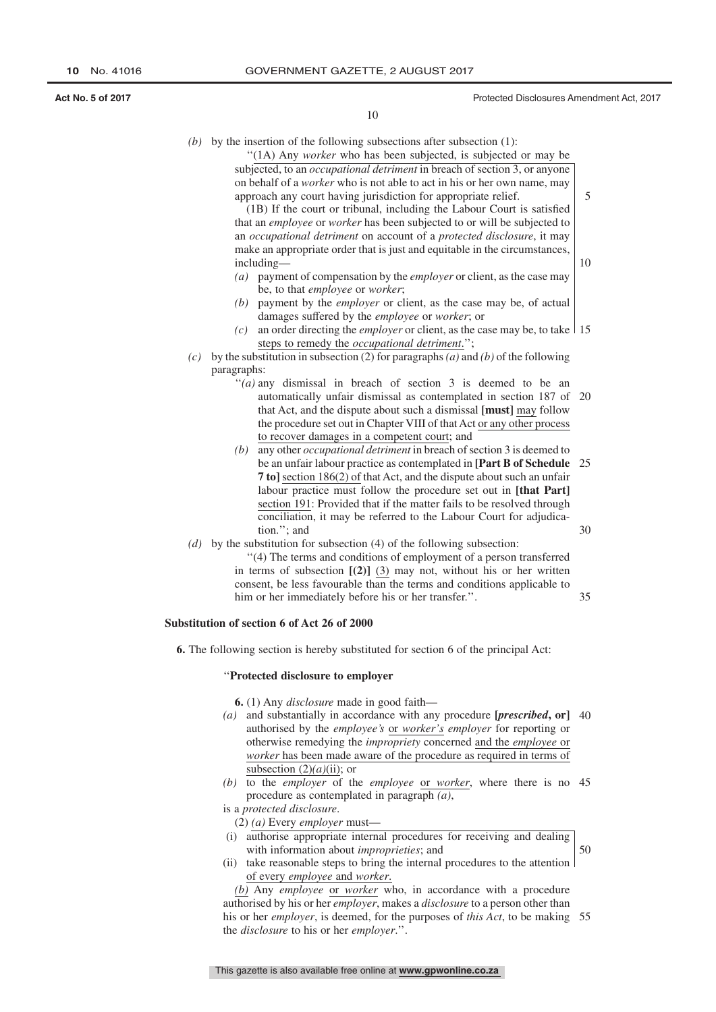10

35

50

10

 $(b)$  by the insertion of the following subsections after subsection  $(1)$ :

''(1A) Any *worker* who has been subjected, is subjected or may be subjected, to an *occupational detriment* in breach of section 3, or anyone on behalf of a *worker* who is not able to act in his or her own name, may approach any court having jurisdiction for appropriate relief.

(1B) If the court or tribunal, including the Labour Court is satisfied that an *employee* or *worker* has been subjected to or will be subjected to an *occupational detriment* on account of a *protected disclosure*, it may make an appropriate order that is just and equitable in the circumstances, including—

- *(a)* payment of compensation by the *employer* or client, as the case may be, to that *employee* or *worker*;
- *(b)* payment by the *employer* or client, as the case may be, of actual damages suffered by the *employee* or *worker*; or
- (c) an order directing the *employer* or client, as the case may be, to take  $\vert$  15 steps to remedy the *occupational detriment*.'';
- *(c)* by the substitution in subsection (2) for paragraphs*(a)* and *(b)* of the following paragraphs:
	- $''(a)$  any dismissal in breach of section 3 is deemed to be an automatically unfair dismissal as contemplated in section 187 of 20 that Act, and the dispute about such a dismissal **[must]** may follow the procedure set out in Chapter VIII of that Act or any other process to recover damages in a competent court; and
	- *(b)* any other *occupational detriment* in breach of section 3 is deemed to be an unfair labour practice as contemplated in **[Part B of Schedule** 25 **7 to]** section 186(2) of that Act, and the dispute about such an unfair labour practice must follow the procedure set out in **[that Part]** section 191: Provided that if the matter fails to be resolved through conciliation, it may be referred to the Labour Court for adjudication.''; and 30
- *(d)* by the substitution for subsection (4) of the following subsection:
	- ''(4) The terms and conditions of employment of a person transferred in terms of subsection **[(2)]** (3) may not, without his or her written consent, be less favourable than the terms and conditions applicable to him or her immediately before his or her transfer.''.

#### **Substitution of section 6 of Act 26 of 2000**

**6.** The following section is hereby substituted for section 6 of the principal Act:

#### ''**Protected disclosure to employer**

**6.** (1) Any *disclosure* made in good faith—

- *(a)* and substantially in accordance with any procedure **[***prescribed***, or]** 40 authorised by the *employee's* or *worker's employer* for reporting or otherwise remedying the *impropriety* concerned and the *employee* or *worker* has been made aware of the procedure as required in terms of subsection  $(2)(a)(ii)$ ; or
- *(b)* to the *employer* of the *employee* or *worker*, where there is no 45 procedure as contemplated in paragraph *(a)*,

is a *protected disclosure*.

(2) *(a)* Every *employer* must—

- (i) authorise appropriate internal procedures for receiving and dealing with information about *improprieties*; and
- (ii) take reasonable steps to bring the internal procedures to the attention of every *employee* and *worker*.

*(b)* Any *employee* or *worker* who, in accordance with a procedure authorised by his or her *employer*, makes a *disclosure* to a person other than his or her *employer*, is deemed, for the purposes of *this Act*, to be making 55the *disclosure* to his or her *employer*.''.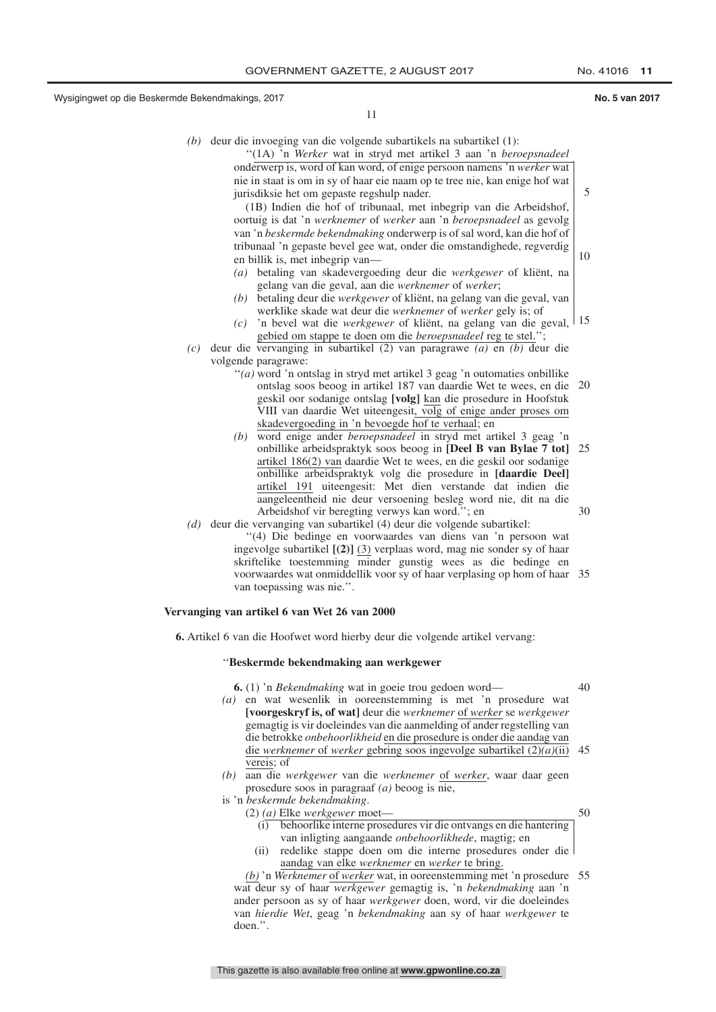5

10

11

- *(b)* deur die invoeging van die volgende subartikels na subartikel (1):
	- ''(1A) 'n *Werker* wat in stryd met artikel 3 aan 'n *beroepsnadeel* onderwerp is, word of kan word, of enige persoon namens 'n *werker* wat nie in staat is om in sy of haar eie naam op te tree nie, kan enige hof wat jurisdiksie het om gepaste regshulp nader.

(1B) Indien die hof of tribunaal, met inbegrip van die Arbeidshof, oortuig is dat 'n *werknemer* of *werker* aan 'n *beroepsnadeel* as gevolg van 'n *beskermde bekendmaking* onderwerp is of sal word, kan die hof of tribunaal 'n gepaste bevel gee wat, onder die omstandighede, regverdig en billik is, met inbegrip van—

- *(a)* betaling van skadevergoeding deur die *werkgewer* of kliënt, na gelang van die geval, aan die *werknemer* of *werker*;
- *(b)* betaling deur die *werkgewer* of kliënt, na gelang van die geval, van werklike skade wat deur die *werknemer* of *werker* gely is; of
- *(c)* 'n bevel wat die *werkgewer* of kliënt, na gelang van die geval, 15 gebied om stappe te doen om die *beroepsnadeel* reg te stel.'
- *(c)* deur die vervanging in subartikel (2) van paragrawe *(a)* en *(b)* deur die volgende paragrawe:
	- "(*a*) word 'n ontslag in stryd met artikel 3 geag 'n outomaties onbillike ontslag soos beoog in artikel 187 van daardie Wet te wees, en die 20 geskil oor sodanige ontslag **[volg]** kan die prosedure in Hoofstuk VIII van daardie Wet uiteengesit, volg of enige ander proses om skadevergoeding in 'n bevoegde hof te verhaal; en
	- *(b)* word enige ander *beroepsnadeel* in stryd met artikel 3 geag 'n onbillike arbeidspraktyk soos beoog in **[Deel B van Bylae 7 tot]** 25 artikel 186(2) van daardie Wet te wees, en die geskil oor sodanige onbillike arbeidspraktyk volg die prosedure in **[daardie Deel]** artikel 191 uiteengesit: Met dien verstande dat indien die aangeleentheid nie deur versoening besleg word nie, dit na die Arbeidshof vir beregting verwys kan word.''; en 30
- *(d)* deur die vervanging van subartikel (4) deur die volgende subartikel: ''(4) Die bedinge en voorwaardes van diens van 'n persoon wat ingevolge subartikel **[(2)]** (3) verplaas word, mag nie sonder sy of haar skriftelike toestemming minder gunstig wees as die bedinge en voorwaardes wat onmiddellik voor sy of haar verplasing op hom of haar 35 van toepassing was nie.''.

#### **Vervanging van artikel 6 van Wet 26 van 2000**

**6.** Artikel 6 van die Hoofwet word hierby deur die volgende artikel vervang:

#### ''**Beskermde bekendmaking aan werkgewer**

**6.** (1) 'n *Bekendmaking* wat in goeie trou gedoen word—

- 40
- *(a)* en wat wesenlik in ooreenstemming is met 'n prosedure wat **[voorgeskryf is, of wat]** deur die *werknemer* of *werker* se *werkgewer* gemagtig is vir doeleindes van die aanmelding of ander regstelling van die betrokke *onbehoorlikheid* en die prosedure is onder die aandag van die *werknemer* of *werker* gebring soos ingevolge subartikel (2)*(a)*(ii) 45 vereis; of
- *(b)* aan die *werkgewer* van die *werknemer* of *werker*, waar daar geen prosedure soos in paragraaf *(a)* beoog is nie,

is 'n *beskermde bekendmaking*. (2) *(a)* Elke *werkgewer* moet—

50

- (i) behoorlike interne prosedures vir die ontvangs en die hantering van inligting aangaande *onbehoorlikhede*, magtig; en
- (ii) redelike stappe doen om die interne prosedures onder die aandag van elke *werknemer* en *werker* te bring.

*(b)* 'n *Werknemer* of *werker* wat, in ooreenstemming met 'n prosedure 55wat deur sy of haar *werkgewer* gemagtig is, 'n *bekendmaking* aan 'n ander persoon as sy of haar *werkgewer* doen, word, vir die doeleindes van *hierdie Wet*, geag 'n *bekendmaking* aan sy of haar *werkgewer* te doen.''.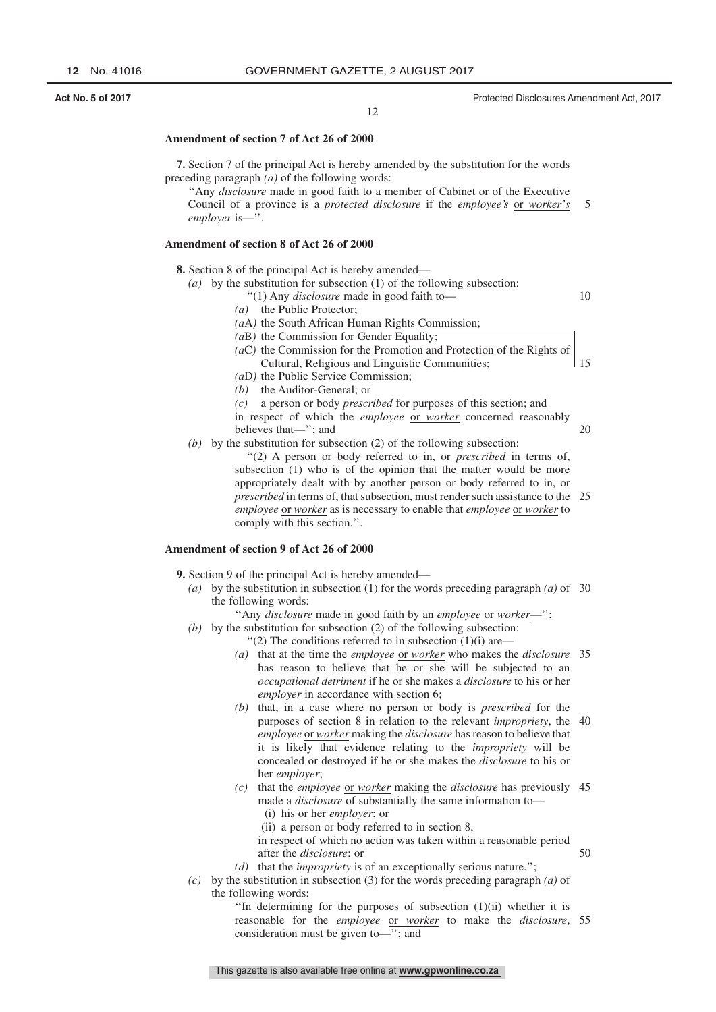#### **Amendment of section 7 of Act 26 of 2000**

**7.** Section 7 of the principal Act is hereby amended by the substitution for the words preceding paragraph *(a)* of the following words:

''Any *disclosure* made in good faith to a member of Cabinet or of the Executive Council of a province is a *protected disclosure* if the *employee's* or *worker's employer* is—''. 5

#### **Amendment of section 8 of Act 26 of 2000**

**8.** Section 8 of the principal Act is hereby amended—

- *(a)* by the substitution for subsection (1) of the following subsection:
	- ''(1) Any *disclosure* made in good faith to—
	- *(a)* the Public Protector;
	- *(a*A*)* the South African Human Rights Commission;

*(a*B*)* the Commission for Gender Equality;

*(a*C*)* the Commission for the Promotion and Protection of the Rights of Cultural, Religious and Linguistic Communities; 15

*(a*D*)* the Public Service Commission;

*(b)* the Auditor-General; or

- *(c)* a person or body *prescribed* for purposes of this section; and
- in respect of which the *employee* or *worker* concerned reasonably
- believes that—''; and
- *(b)* by the substitution for subsection (2) of the following subsection:
	- ''(2) A person or body referred to in, or *prescribed* in terms of, subsection (1) who is of the opinion that the matter would be more appropriately dealt with by another person or body referred to in, or *prescribed* in terms of, that subsection, must render such assistance to the 25 *employee* or *worker* as is necessary to enable that *employee* or *worker* to comply with this section.''.

#### **Amendment of section 9 of Act 26 of 2000**

- **9.** Section 9 of the principal Act is hereby amended—
	- *(a)* by the substitution in subsection (1) for the words preceding paragraph *(a)* of 30 the following words:
		- ''Any *disclosure* made in good faith by an *employee* or *worker*—'';
	- *(b)* by the substitution for subsection (2) of the following subsection:
		- $''(2)$  The conditions referred to in subsection  $(1)(i)$  are—
		- *(a)* that at the time the *employee* or *worker* who makes the *disclosure* 35 has reason to believe that he or she will be subjected to an *occupational detriment* if he or she makes a *disclosure* to his or her *employer* in accordance with section 6;
		- *(b)* that, in a case where no person or body is *prescribed* for the purposes of section 8 in relation to the relevant *impropriety*, the 40 *employee* or *worker* making the *disclosure* has reason to believe that it is likely that evidence relating to the *impropriety* will be concealed or destroyed if he or she makes the *disclosure* to his or her *employer*;
		- *(c)* that the *employee* or *worker* making the *disclosure* has previously 45 made a *disclosure* of substantially the same information to— (i) his or her *employer*; or
			- (ii) a person or body referred to in section 8,

in respect of which no action was taken within a reasonable period after the *disclosure*; or

- *(d)* that the *impropriety* is of an exceptionally serious nature.'';
- *(c)* by the substitution in subsection (3) for the words preceding paragraph *(a)* of the following words:

''In determining for the purposes of subsection (1)(ii) whether it is reasonable for the *employee* or *worker* to make the *disclosure*, 55consideration must be given to—''; and

**Act No. 5 of 2017 Act No. 5 of 2017 Protected Disclosures Amendment Act, 2017 Protected Disclosures Amendment Act, 2017** 

10

20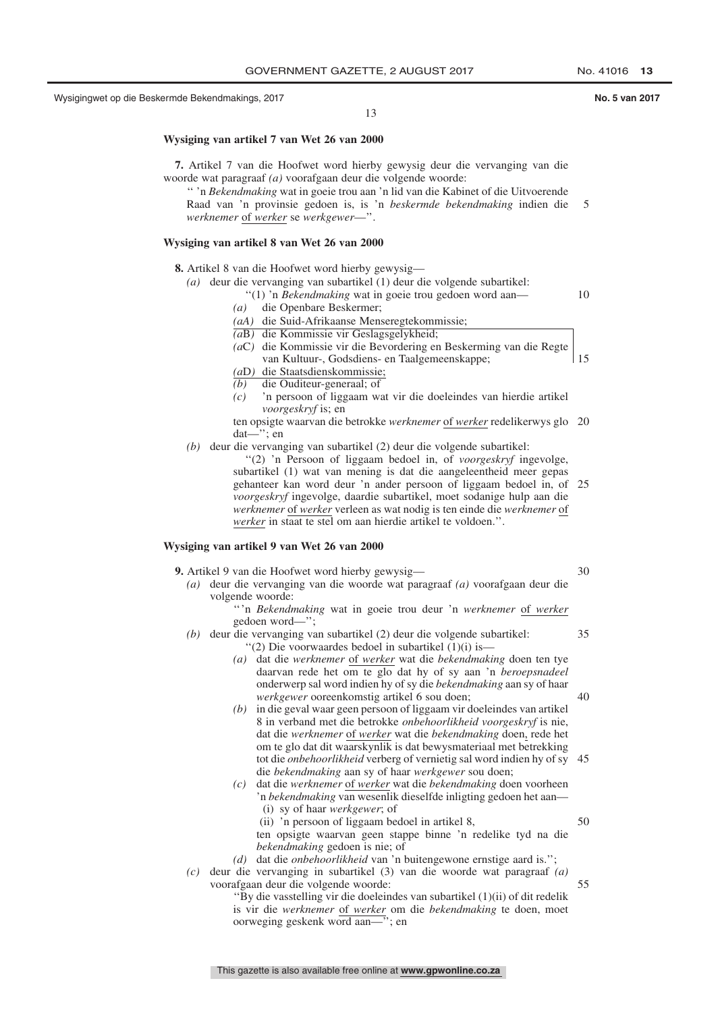13

#### **Wysiging van artikel 7 van Wet 26 van 2000**

**7.** Artikel 7 van die Hoofwet word hierby gewysig deur die vervanging van die woorde wat paragraaf *(a)* voorafgaan deur die volgende woorde:

'' 'n *Bekendmaking* wat in goeie trou aan 'n lid van die Kabinet of die Uitvoerende Raad van 'n provinsie gedoen is, is 'n *beskermde bekendmaking* indien die 5 *werknemer* of *werker* se *werkgewer*—''.

#### **Wysiging van artikel 8 van Wet 26 van 2000**

**8.** Artikel 8 van die Hoofwet word hierby gewysig—

- *(a)* deur die vervanging van subartikel (1) deur die volgende subartikel:
	- ''(1) 'n *Bekendmaking* wat in goeie trou gedoen word aan—
		- *(a)* die Openbare Beskermer;
		- *(aA)* die Suid-Afrikaanse Menseregtekommissie;
		- *(a*B*)* die Kommissie vir Geslagsgelykheid;
		- *(a*C*)* die Kommissie vir die Bevordering en Beskerming van die Regte van Kultuur-, Godsdiens- en Taalgemeenskappe;
		- *(a*D*)* die Staatsdienskommissie;
		- *(b)* die Ouditeur-generaal; of
		- *(c)* 'n persoon of liggaam wat vir die doeleindes van hierdie artikel *voorgeskryf* is; en
		- ten opsigte waarvan die betrokke *werknemer* of *werker* redelikerwys glo 20 dat—''; en
- *(b)* deur die vervanging van subartikel (2) deur die volgende subartikel:
	- ''(2) 'n Persoon of liggaam bedoel in, of *voorgeskryf* ingevolge, subartikel (1) wat van mening is dat die aangeleentheid meer gepas gehanteer kan word deur 'n ander persoon of liggaam bedoel in, of 25 *voorgeskryf* ingevolge, daardie subartikel, moet sodanige hulp aan die *werknemer* of *werker* verleen as wat nodig is ten einde die *werknemer* of *werker* in staat te stel om aan hierdie artikel te voldoen.''.

#### **Wysiging van artikel 9 van Wet 26 van 2000**

- **9.** Artikel 9 van die Hoofwet word hierby gewysig—
	- *(a)* deur die vervanging van die woorde wat paragraaf *(a)* voorafgaan deur die volgende woorde:
		- '' 'n *Bekendmaking* wat in goeie trou deur 'n *werknemer* of *werker* gedoen word—'';
	- *(b)* deur die vervanging van subartikel (2) deur die volgende subartikel:
		- ''(2) Die voorwaardes bedoel in subartikel (1)(i) is— *(a)* dat die *werknemer* of *werker* wat die *bekendmaking* doen ten tye daarvan rede het om te glo dat hy of sy aan 'n *beroepsnadeel* onderwerp sal word indien hy of sy die *bekendmaking* aan sy of haar *werkgewer* ooreenkomstig artikel 6 sou doen;
		- *(b)* in die geval waar geen persoon of liggaam vir doeleindes van artikel 8 in verband met die betrokke *onbehoorlikheid voorgeskryf* is nie, dat die *werknemer* of *werker* wat die *bekendmaking* doen, rede het om te glo dat dit waarskynlik is dat bewysmateriaal met betrekking tot die *onbehoorlikheid* verberg of vernietig sal word indien hy of sy 45 die *bekendmaking* aan sy of haar *werkgewer* sou doen;
		- *(c)* dat die *werknemer* of *werker* wat die *bekendmaking* doen voorheen 'n *bekendmaking* van wesenlik dieselfde inligting gedoen het aan—
			- (i) sy of haar *werkgewer*; of
			- (ii) 'n persoon of liggaam bedoel in artikel 8,
			- ten opsigte waarvan geen stappe binne 'n redelike tyd na die *bekendmaking* gedoen is nie; of
		- *(d)* dat die *onbehoorlikheid* van 'n buitengewone ernstige aard is.'';
	- *(c)* deur die vervanging in subartikel (3) van die woorde wat paragraaf *(a)* voorafgaan deur die volgende woorde: 55
		- ''By die vasstelling vir die doeleindes van subartikel (1)(ii) of dit redelik is vir die *werknemer* of *werker* om die *bekendmaking* te doen, moet oorweging geskenk word aan—''; en

10

15

50

 $40$ 

30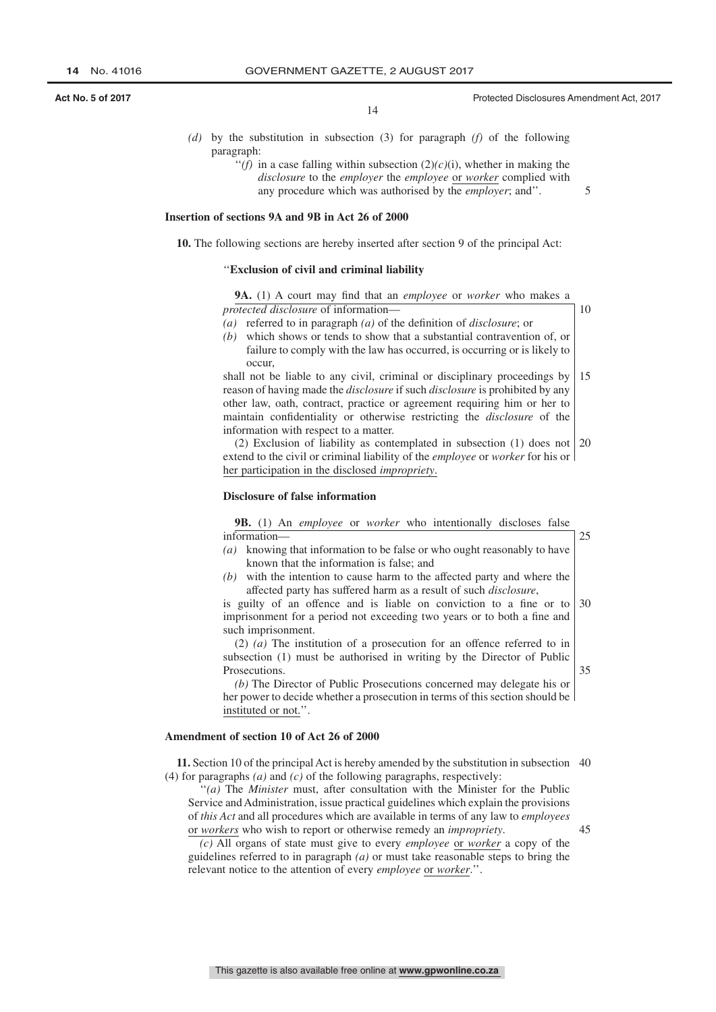**Act No. 5 of 2017 Act No. 5 of 2017 Protected Disclosures Amendment Act, 2017 Protected Disclosures Amendment Act, 2017** 

14

- *(d)* by the substitution in subsection (3) for paragraph *(f)* of the following paragraph:
	- $f'(f)$  in a case falling within subsection  $(2)(c)(i)$ , whether in making the *disclosure* to the *employer* the *employee* or *worker* complied with any procedure which was authorised by the *employer*; and''.

## **Insertion of sections 9A and 9B in Act 26 of 2000**

**10.** The following sections are hereby inserted after section 9 of the principal Act:

#### ''**Exclusion of civil and criminal liability**

*protected disclosure* of information—

**9A.** (1) A court may find that an *employee* or *worker* who makes a

10

25

35

45

5

- *(a)* referred to in paragraph *(a)* of the definition of *disclosure*; or
- *(b)* which shows or tends to show that a substantial contravention of, or failure to comply with the law has occurred, is occurring or is likely to occur,

shall not be liable to any civil, criminal or disciplinary proceedings by reason of having made the *disclosure* if such *disclosure* is prohibited by any other law, oath, contract, practice or agreement requiring him or her to maintain confidentiality or otherwise restricting the *disclosure* of the information with respect to a matter. 15

(2) Exclusion of liability as contemplated in subsection (1) does not 20 extend to the civil or criminal liability of the *employee* or *worker* for his or her participation in the disclosed *impropriety*.

#### **Disclosure of false information**

**9B.** (1) An *employee* or *worker* who intentionally discloses false information—

- *(a)* knowing that information to be false or who ought reasonably to have known that the information is false; and
- *(b)* with the intention to cause harm to the affected party and where the affected party has suffered harm as a result of such *disclosure*,

is guilty of an offence and is liable on conviction to a fine or to imprisonment for a period not exceeding two years or to both a fine and such imprisonment. 30

(2) *(a)* The institution of a prosecution for an offence referred to in subsection (1) must be authorised in writing by the Director of Public Prosecutions.

*(b)* The Director of Public Prosecutions concerned may delegate his or her power to decide whether a prosecution in terms of this section should be instituted or not.''.

#### **Amendment of section 10 of Act 26 of 2000**

**11.** Section 10 of the principal Act is hereby amended by the substitution in subsection 40 (4) for paragraphs *(a)* and *(c)* of the following paragraphs, respectively:

''*(a)* The *Minister* must, after consultation with the Minister for the Public Service and Administration, issue practical guidelines which explain the provisions of *this Act* and all procedures which are available in terms of any law to *employees* or *workers* who wish to report or otherwise remedy an *impropriety*.

*(c)* All organs of state must give to every *employee* or *worker* a copy of the guidelines referred to in paragraph *(a)* or must take reasonable steps to bring the relevant notice to the attention of every *employee* or *worker*.''.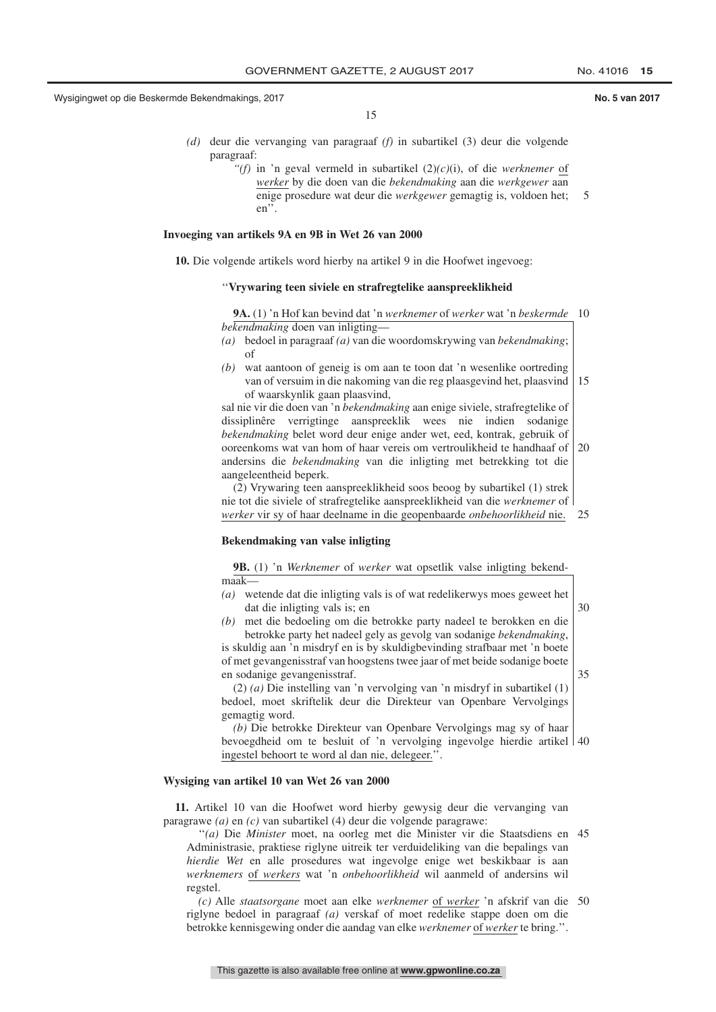15

- *(d)* deur die vervanging van paragraaf *(f)* in subartikel (3) deur die volgende paragraaf:
	- *''(f)* in 'n geval vermeld in subartikel (2)*(c)*(i), of die *werknemer* of *werker* by die doen van die *bekendmaking* aan die *werkgewer* aan enige prosedure wat deur die *werkgewer* gemagtig is, voldoen het; en''. 5

#### **Invoeging van artikels 9A en 9B in Wet 26 van 2000**

**10.** Die volgende artikels word hierby na artikel 9 in die Hoofwet ingevoeg:

#### ''**Vrywaring teen siviele en strafregtelike aanspreeklikheid**

**9A.** (1) 'n Hof kan bevind dat 'n *werknemer* of *werker* wat 'n *beskermde* 10 *bekendmaking* doen van inligting—

- *(a)* bedoel in paragraaf *(a)* van die woordomskrywing van *bekendmaking*; of
- *(b)* wat aantoon of geneig is om aan te toon dat 'n wesenlike oortreding van of versuim in die nakoming van die reg plaasgevind het, plaasvind of waarskynlik gaan plaasvind, 15

sal nie vir die doen van 'n *bekendmaking* aan enige siviele, strafregtelike of dissiplinêre verrigtinge aanspreeklik wees nie indien sodanige *bekendmaking* belet word deur enige ander wet, eed, kontrak, gebruik of ooreenkoms wat van hom of haar vereis om vertroulikheid te handhaaf of 20 andersins die *bekendmaking* van die inligting met betrekking tot die aangeleentheid beperk.

(2) Vrywaring teen aanspreeklikheid soos beoog by subartikel (1) strek nie tot die siviele of strafregtelike aanspreeklikheid van die *werknemer* of *werker* vir sy of haar deelname in die geopenbaarde *onbehoorlikheid* nie. 25

#### **Bekendmaking van valse inligting**

**9B.** (1) 'n *Werknemer* of *werker* wat opsetlik valse inligting bekendmaak—

- *(a)* wetende dat die inligting vals is of wat redelikerwys moes geweet het dat die inligting vals is; en
	- 30

*(b)* met die bedoeling om die betrokke party nadeel te berokken en die betrokke party het nadeel gely as gevolg van sodanige *bekendmaking*, is skuldig aan 'n misdryf en is by skuldigbevinding strafbaar met 'n boete of met gevangenisstraf van hoogstens twee jaar of met beide sodanige boete en sodanige gevangenisstraf.

35

(2) *(a)* Die instelling van 'n vervolging van 'n misdryf in subartikel (1) bedoel, moet skriftelik deur die Direkteur van Openbare Vervolgings gemagtig word.

*(b)* Die betrokke Direkteur van Openbare Vervolgings mag sy of haar bevoegdheid om te besluit of 'n vervolging ingevolge hierdie artikel 40 ingestel behoort te word al dan nie, delegeer.''.

#### **Wysiging van artikel 10 van Wet 26 van 2000**

**11.** Artikel 10 van die Hoofwet word hierby gewysig deur die vervanging van paragrawe *(a)* en *(c)* van subartikel (4) deur die volgende paragrawe:

''*(a)* Die *Minister* moet, na oorleg met die Minister vir die Staatsdiens en 45 Administrasie, praktiese riglyne uitreik ter verduideliking van die bepalings van *hierdie Wet* en alle prosedures wat ingevolge enige wet beskikbaar is aan *werknemers* of *werkers* wat 'n *onbehoorlikheid* wil aanmeld of andersins wil regstel.

*(c)* Alle *staatsorgane* moet aan elke *werknemer* of *werker* 'n afskrif van die 50riglyne bedoel in paragraaf *(a)* verskaf of moet redelike stappe doen om die betrokke kennisgewing onder die aandag van elke *werknemer* of *werker* te bring.''.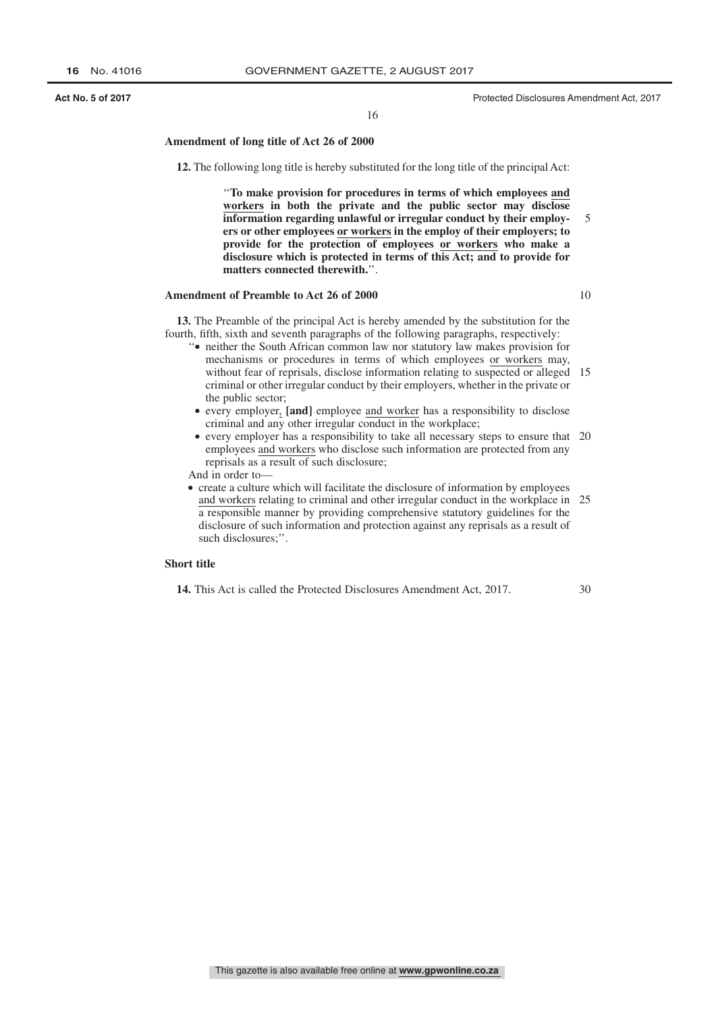**Act No. 5 of 2017 Act No. 5 of 2017 Protected Disclosures Amendment Act, 2017 Protected Disclosures Amendment Act, 2017** 

16

#### **Amendment of long title of Act 26 of 2000**

**12.** The following long title is hereby substituted for the long title of the principal Act:

''**To make provision for procedures in terms of which employees and workers in both the private and the public sector may disclose information regarding unlawful or irregular conduct by their employers or other employees or workers in the employ of their employers; to provide for the protection of employees or workers who make a disclosure which is protected in terms of this Act; and to provide for matters connected therewith.**''. 5

#### **Amendment of Preamble to Act 26 of 2000**

10

**13.** The Preamble of the principal Act is hereby amended by the substitution for the fourth, fifth, sixth and seventh paragraphs of the following paragraphs, respectively:

- ''● neither the South African common law nor statutory law makes provision for mechanisms or procedures in terms of which employees or workers may, without fear of reprisals, disclose information relating to suspected or alleged 15 criminal or other irregular conduct by their employers, whether in the private or the public sector;
- every employer, **[and]** employee and worker has a responsibility to disclose criminal and any other irregular conduct in the workplace;
- every employer has a responsibility to take all necessary steps to ensure that 20 employees and workers who disclose such information are protected from any reprisals as a result of such disclosure;

And in order to—

● create a culture which will facilitate the disclosure of information by employees and workers relating to criminal and other irregular conduct in the workplace in 25 a responsible manner by providing comprehensive statutory guidelines for the disclosure of such information and protection against any reprisals as a result of such disclosures;''.

#### **Short title**

**14.** This Act is called the Protected Disclosures Amendment Act, 2017.